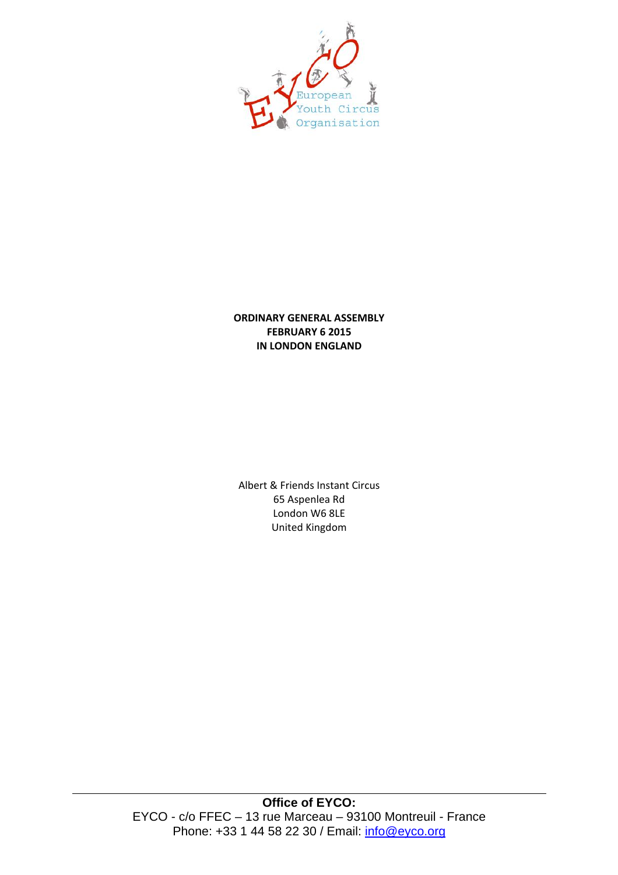

# **ORDINARY GENERAL ASSEMBLY FEBRUARY 6 2015 IN LONDON ENGLAND**

Albert & Friends Instant Circus 65 Aspenlea Rd London W6 8LE United!Kingdom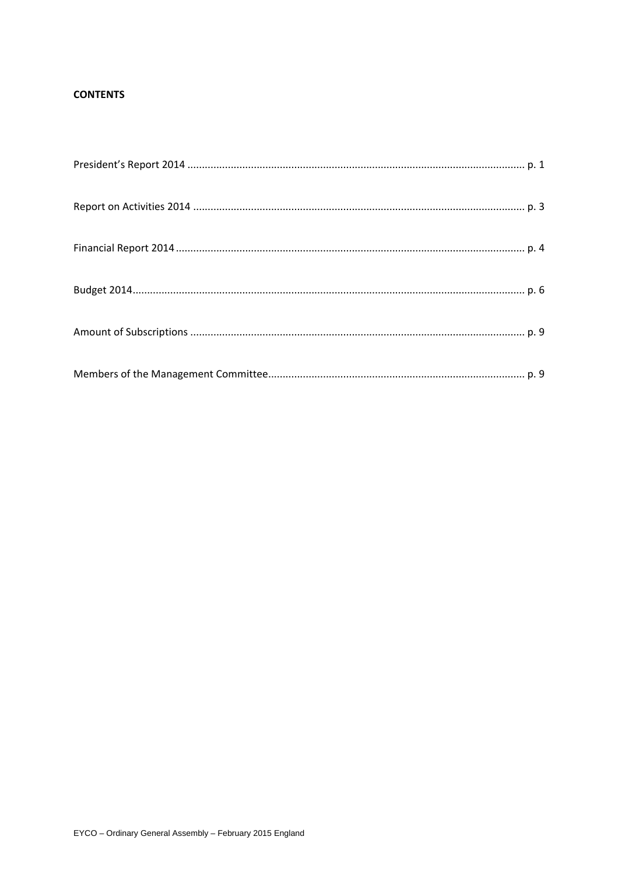# **CONTENTS**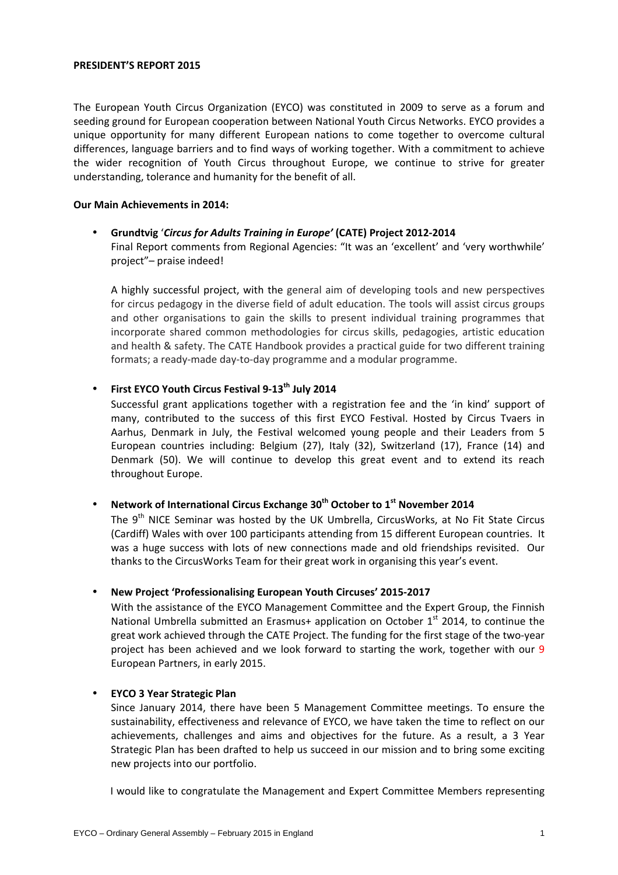#### **PRESIDENT'S REPORT 2015**

The European Youth Circus Organization (EYCO) was constituted in 2009 to serve as a forum and seeding ground for European cooperation between National Youth Circus Networks. EYCO provides a unique opportunity for many different European nations to come together to overcome cultural differences, language barriers and to find ways of working together. With a commitment to achieve the wider recognition of Youth Circus throughout Europe, we continue to strive for greater understanding, tolerance and humanity for the benefit of all.

### **Our Main Achievements in 2014:**

# Grundtvig 'Circus for Adults Training in Europe' (CATE) Project 2012-2014 Final Report comments from Regional Agencies: "It was an 'excellent' and 'very worthwhile' project"- praise indeed!

A highly successful project, with the general aim of developing tools and new perspectives for circus pedagogy in the diverse field of adult education. The tools will assist circus groups and other organisations to gain the skills to present individual training programmes that incorporate shared common methodologies for circus skills, pedagogies, artistic education and health & safety. The CATE Handbook provides a practical guide for two different training formats; a ready-made day-to-day programme and a modular programme.

# • First EYCO Youth Circus Festival 9-13<sup>th</sup> July 2014

Successful grant applications together with a registration fee and the 'in kind' support of many, contributed to the success of this first EYCO Festival. Hosted by Circus Tvaers in Aarhus, Denmark in July, the Festival welcomed young people and their Leaders from 5 European countries including: Belgium (27), Italy (32), Switzerland (17), France (14) and Denmark (50). We will continue to develop this great event and to extend its reach throughout Europe.

# • Network of International Circus Exchange 30<sup>th</sup> October to 1<sup>st</sup> November 2014

The 9<sup>th</sup> NICE Seminar was hosted by the UK Umbrella, CircusWorks, at No Fit State Circus (Cardiff) Wales with over 100 participants attending from 15 different European countries. It was a huge success with lots of new connections made and old friendships revisited. Our thanks to the CircusWorks Team for their great work in organising this year's event.

## **New Project 'Professionalising European Youth Circuses' 2015-2017**

With the assistance of the EYCO Management Committee and the Expert Group, the Finnish National Umbrella submitted an Erasmus+ application on October 1<sup>st</sup> 2014, to continue the great work achieved through the CATE Project. The funding for the first stage of the two-year project has been achieved and we look forward to starting the work, together with our 9 European Partners, in early 2015.

## **• EYCO 3 Year Strategic Plan**

Since January 2014, there have been 5 Management Committee meetings. To ensure the sustainability, effectiveness and relevance of EYCO, we have taken the time to reflect on our achievements, challenges and aims and objectives for the future. As a result, a 3 Year Strategic Plan has been drafted to help us succeed in our mission and to bring some exciting new projects into our portfolio.

I would like to congratulate the Management and Expert Committee Members representing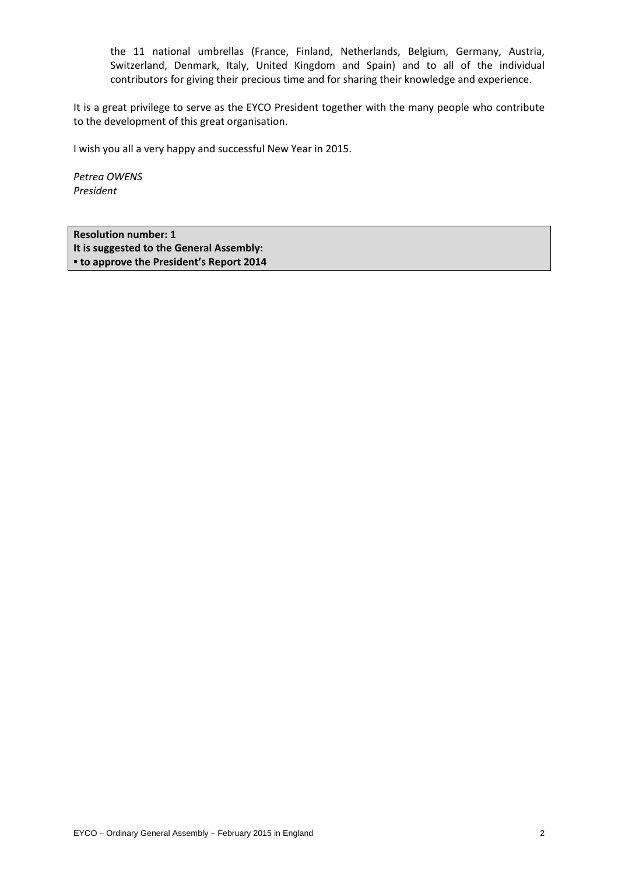the 11 national umbrellas (France, Finland, Netherlands, Belgium, Germany, Austria, Switzerland, Denmark, Italy, United Kingdom and Spain) and to all of the individual contributors for giving their precious time and for sharing their knowledge and experience.

It is a great privilege to serve as the EYCO President together with the many people who contribute to the development of this great organisation.

I wish you all a very happy and successful New Year in 2015.

*Petrea&OWENS President*

**Resolution number: 1** It is suggested to the General Assembly:  $\bullet$  **to approve the President's Report 2014**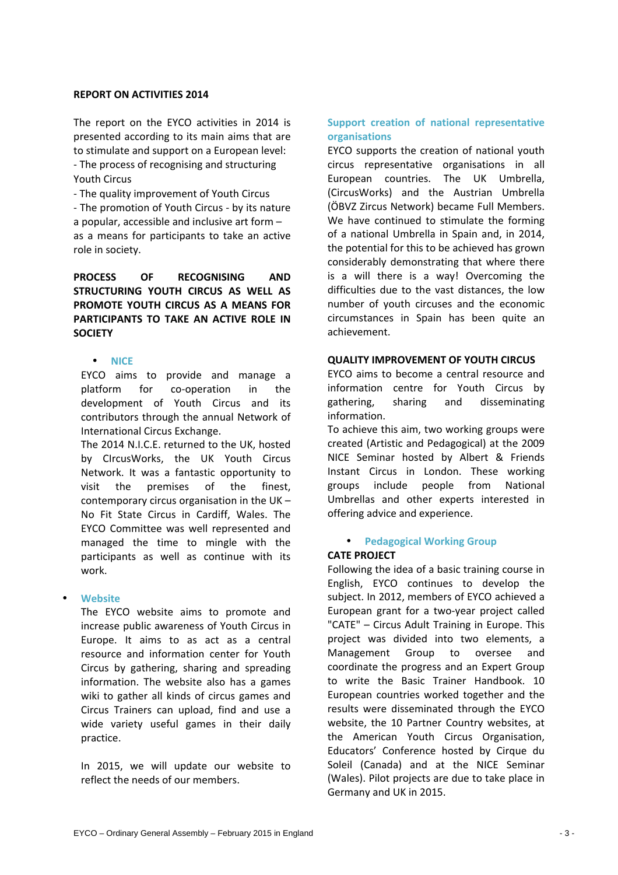### **REPORT ON ACTIVITIES 2014**

The report on the EYCO activities in 2014 is presented according to its main aims that are to stimulate and support on a European level: - The process of recognising and structuring **Youth Circus** 

- The quality improvement of Youth Circus - The promotion of Youth Circus - by its nature a popular, accessible and inclusive art form  $$ as a means for participants to take an active role in society.

# PROCESS OF RECOGNISING AND STRUCTURING YOUTH CIRCUS AS WELL AS **PROMOTE YOUTH CIRCUS AS A MEANS FOR PARTICIPANTS TO TAKE AN ACTIVE ROLE IN SOCIETY**

### • **NICE**

EYCO aims to provide and manage a platform for co-operation in the development of Youth Circus and its contributors through the annual Network of International Circus Exchange.

The 2014 N.I.C.E. returned to the UK, hosted by CIrcusWorks, the UK Youth Circus Network. It was a fantastic opportunity to visit the premises of the finest. contemporary circus organisation in the UK – No Fit State Circus in Cardiff, Wales. The EYCO Committee was well represented and managed the time to mingle with the participants as well as continue with its work.

#### • **Website(**

The EYCO website aims to promote and increase public awareness of Youth Circus in Europe. It aims to as act as a central resource and information center for Youth Circus by gathering, sharing and spreading information. The website also has a games wiki to gather all kinds of circus games and Circus Trainers can upload, find and use a wide variety useful games in their daily practice.

In 2015, we will update our website to reflect the needs of our members.

## **Support creation of national representative organisations**

EYCO supports the creation of national youth circus representative organisations in all European countries. The UK Umbrella, (CircusWorks) and the Austrian Umbrella (ÖBVZ Zircus Network) became Full Members. We have continued to stimulate the forming of a national Umbrella in Spain and, in 2014, the potential for this to be achieved has grown considerably demonstrating that where there is a will there is a way! Overcoming the difficulties due to the vast distances, the low number of youth circuses and the economic circumstances in Spain has been quite an achievement.

### **QUALITY IMPROVEMENT OF YOUTH CIRCUS**

EYCO aims to become a central resource and information centre for Youth Circus by gathering, sharing and disseminating information.

To achieve this aim, two working groups were created (Artistic and Pedagogical) at the 2009 NICE Seminar hosted by Albert & Friends Instant Circus in London. These working groups include people from National Umbrellas and other experts interested in offering advice and experience.

## **• Pedagogical Working Group**

## **CATE PROJECT**

Following the idea of a basic training course in English, EYCO continues to develop the subject. In 2012, members of EYCO achieved a European grant for a two-year project called "CATE" - Circus Adult Training in Europe. This project was divided into two elements, a Management Group to oversee and coordinate the progress and an Expert Group to write the Basic Trainer Handbook. 10 European countries worked together and the results were disseminated through the EYCO website, the 10 Partner Country websites, at the American Youth Circus Organisation, Educators' Conference hosted by Cirque du Soleil (Canada) and at the NICE Seminar (Wales). Pilot projects are due to take place in Germany and UK in 2015.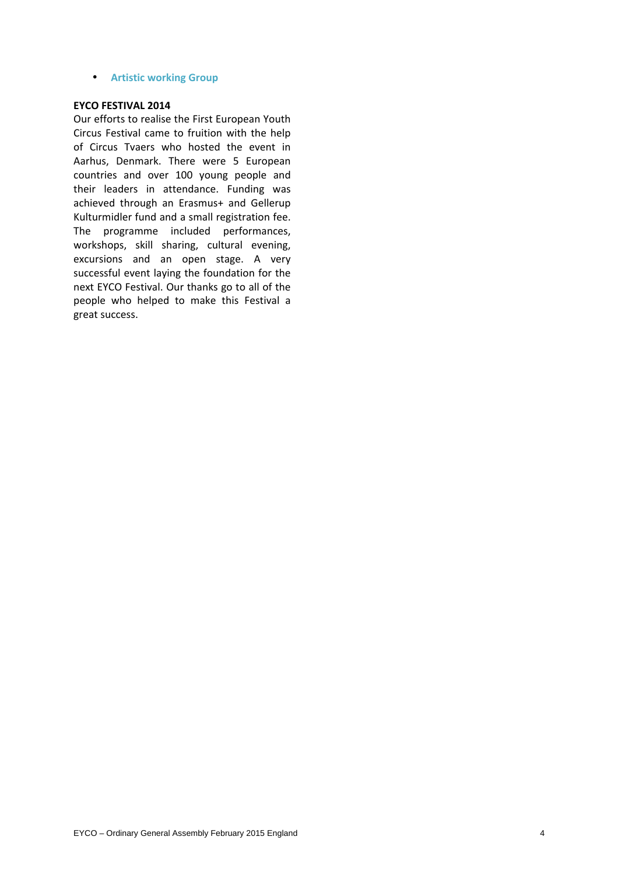**• Artistic working Group** 

#### **EYCO FESTIVAL 2014**

Our efforts to realise the First European Youth Circus Festival came to fruition with the help of Circus Tvaers who hosted the event in Aarhus, Denmark. There were 5 European countries and over 100 young people and their leaders in attendance. Funding was achieved through an Erasmus+ and Gellerup Kulturmidler fund and a small registration fee. The programme included performances, workshops, skill sharing, cultural evening, excursions and an open stage. A very successful event laying the foundation for the next EYCO Festival. Our thanks go to all of the people who helped to make this Festival a great success.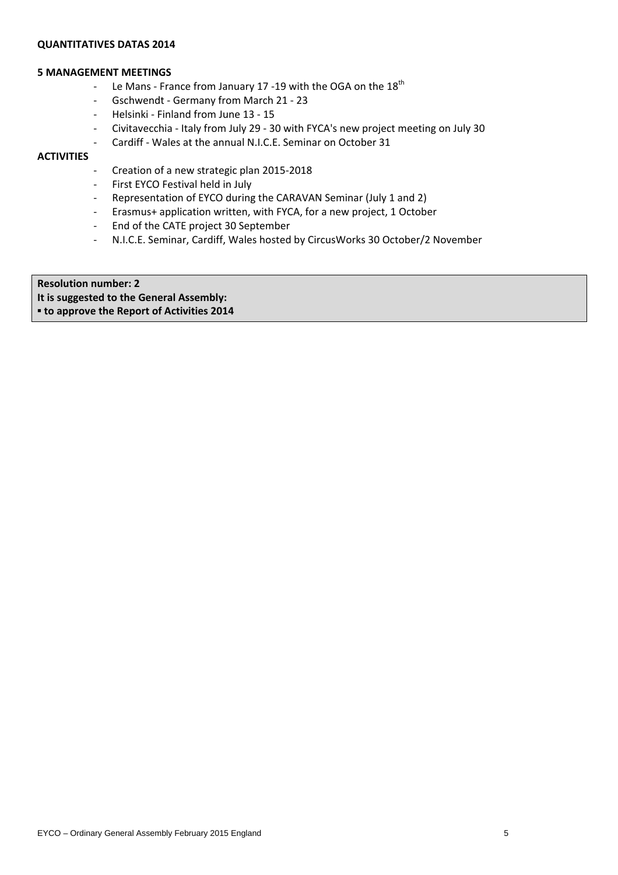## **QUANTITATIVES DATAS 2014**

#### **5** MANAGEMENT MEETINGS

- Le Mans France from January 17 -19 with the OGA on the  $18<sup>th</sup>$
- Gschwendt Germany from March 21 23
- Helsinki Finland from June 13 15
- Civitavecchia Italy from July 29 30 with FYCA's new project meeting on July 30
- Cardiff Wales at the annual N.I.C.E. Seminar on October 31

# **ACTIVITIES**

- Creation of a new strategic plan 2015-2018
- First EYCO Festival held in July
- Representation of EYCO during the CARAVAN Seminar (July 1 and 2)
- Erasmus+ application written, with FYCA, for a new project, 1 October
- End of the CATE project 30 September
- N.I.C.E. Seminar, Cardiff, Wales hosted by CircusWorks 30 October/2 November

**Resolution number: 2 It is suggested to the General Assembly:**  $\bullet$  **to approve the Report of Activities 2014**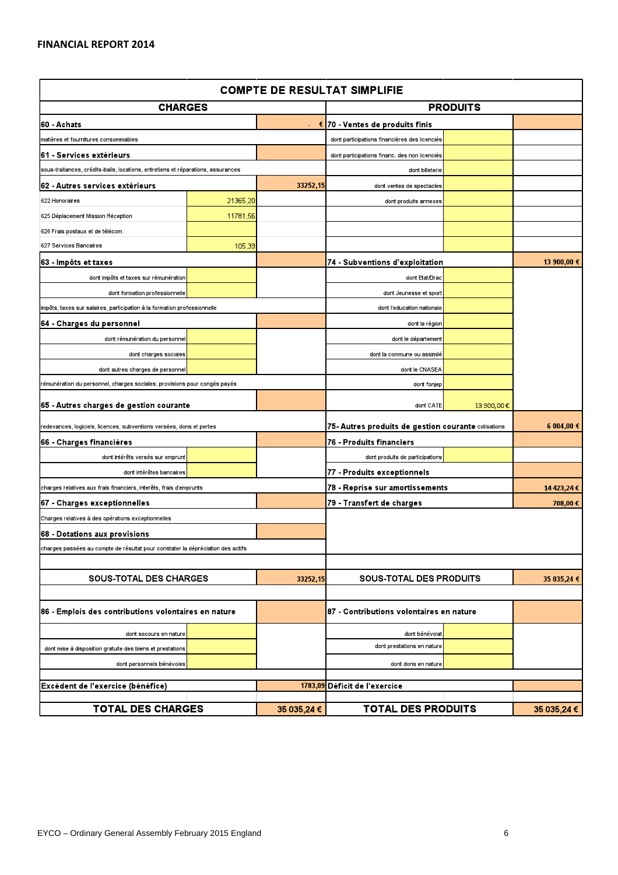| <b>COMPTE DE RESULTAT SIMPLIFIE</b>                                              |          |                                   |                                                     |             |             |
|----------------------------------------------------------------------------------|----------|-----------------------------------|-----------------------------------------------------|-------------|-------------|
| <b>CHARGES</b>                                                                   |          |                                   | <b>PRODUITS</b>                                     |             |             |
| 60 - Achats                                                                      |          | - € 70 - Ventes de produits finis |                                                     |             |             |
| matières et fournitures consommables                                             |          |                                   | dont participations financières des licenciés       |             |             |
| 61 - Services extérieurs                                                         |          |                                   | dont participations financ. des non licenciés       |             |             |
| sous-traitances, crédits-bails, locations, entretiens et réparations, assurances |          |                                   | dont billeterie                                     |             |             |
| 62 - Autres services extérieurs                                                  |          | 33252,15                          | dont ventes de spectacles                           |             |             |
| 622 Honoraires                                                                   | 21365,20 |                                   | dont produits annexes                               |             |             |
| 625 Déplacement Mission Réception                                                | 11781,56 |                                   |                                                     |             |             |
| 626 Frais postaux et de télécom.                                                 |          |                                   |                                                     |             |             |
| 627 Services Bancaires                                                           | 105,39   |                                   |                                                     |             |             |
| 63 - Impôts et taxes                                                             |          |                                   | 74 - Subventions d'exploitation                     |             | 13 900,00 € |
| dont impôts et taxes sur rémunération                                            |          |                                   | dont Etat/Drac                                      |             |             |
| dont formation professionnelle                                                   |          |                                   | dont Jeunesse et sport                              |             |             |
| impôts, taxes sur salaires, participation à la formation professionnelle         |          |                                   | dont l'education nationale                          |             |             |
| 64 - Charges du personnel                                                        |          |                                   | dont la région                                      |             |             |
| dont rémunération du personnel                                                   |          |                                   | dont le département                                 |             |             |
| dont charges sociales                                                            |          |                                   | dont la commune ou assimilé                         |             |             |
| dont autres charges de personnel                                                 |          |                                   | dont le CNASEA                                      |             |             |
| rémunération du personnel, charges sociales, provisions pour congés payés        |          |                                   | dont fonjep                                         |             |             |
| 65 - Autres charges de gestion courante                                          |          |                                   | dont CATE                                           | 13 900,00€  |             |
| edevances, logiciels, licences, subventions versées, dons et pertes              |          |                                   | 75- Autres produits de gestion courante cotisations | 6 004,00 €  |             |
| 66 - Charges financières                                                         |          |                                   | 76 - Produits financiers                            |             |             |
| dont intérêts versés sur emprunt                                                 |          |                                   | dont produits de participations                     |             |             |
| dont intérêtes bancaires                                                         |          |                                   | 77 - Produits exceptionnels                         |             |             |
| charges relatives aux frais financiers, interêts, frais d'emprunts               |          |                                   | 78 - Reprise sur amortissements                     | 14 423,24 € |             |
| 67 - Charges exceptionnelles                                                     |          |                                   | 79 - Transfert de charges                           |             |             |
| Charges relatives à des opérations exceptionnelles                               |          |                                   |                                                     |             |             |
| 68 - Dotations aux provisions                                                    |          |                                   |                                                     |             |             |
| charges passées au compte de résultat pour constater la dépréciation des actifs  |          |                                   |                                                     |             |             |
|                                                                                  |          |                                   |                                                     |             |             |
| <b>SOUS-TOTAL DES CHARGES</b>                                                    |          | 33252,15                          | <b>SOUS-TOTAL DES PRODUITS</b>                      |             | 35 035,24 € |
|                                                                                  |          |                                   |                                                     |             |             |
| 86 - Emplois des contributions volontaires en nature                             |          |                                   | 187 - Contributions volontaires en nature           |             |             |
| dont secours en nature                                                           |          |                                   | dont bénévolat                                      |             |             |
| dont mise à disposition gratuite des biens et prestations                        |          |                                   | dont prestations en nature                          |             |             |
| dont personnels bénévoles                                                        |          |                                   | dont dons en nature                                 |             |             |
|                                                                                  |          |                                   | 1783,09 Déficit de l'exercice                       |             |             |
| Excédent de l'exercice (bénéfice)                                                |          |                                   |                                                     |             |             |
| <b>TOTAL DES CHARGES</b>                                                         |          | 35 035,24 €                       | <b>TOTAL DES PRODUITS</b>                           |             | 35 035,24 € |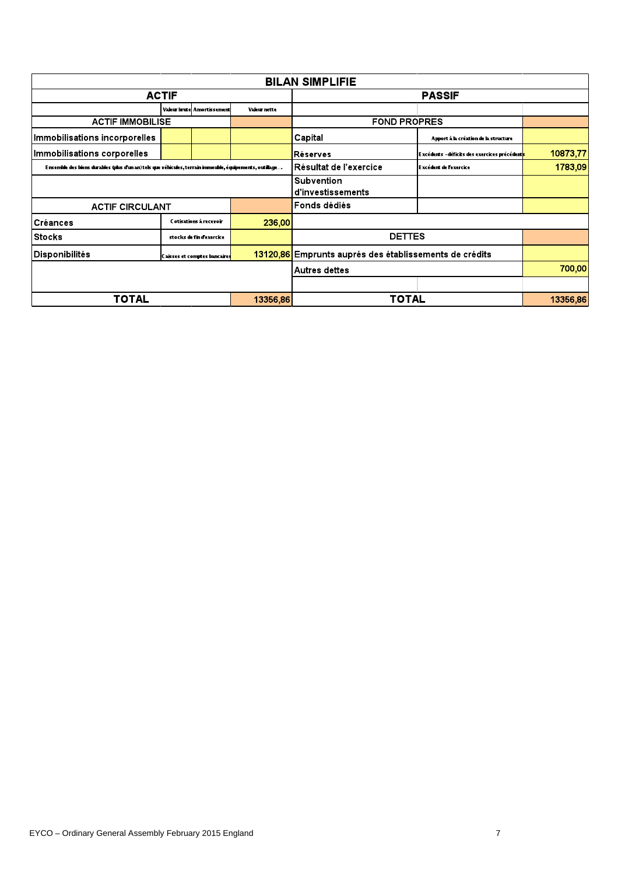| <b>BILAN SIMPLIFIE</b>                                                                                   |  |                                     |                     |                                                        |                                                            |          |
|----------------------------------------------------------------------------------------------------------|--|-------------------------------------|---------------------|--------------------------------------------------------|------------------------------------------------------------|----------|
| <b>ACTIF</b>                                                                                             |  |                                     | <b>PASSIF</b>       |                                                        |                                                            |          |
|                                                                                                          |  | <b>Valeur brute</b> Amortissement   | Valeur nette        |                                                        |                                                            |          |
| <b>ACTIF IMMOBILISE</b>                                                                                  |  |                                     | <b>FOND PROPRES</b> |                                                        |                                                            |          |
| Immobilisations incorporelles                                                                            |  |                                     |                     | Capital                                                | Apport à la création de la structure                       |          |
| Immobilisations corporelles                                                                              |  |                                     |                     | <b>IRéserves</b>                                       | Excédents -déficits des exercices précédent <mark>s</mark> | 10873,77 |
| Ensemble des biens durables (plus d'un an) tels que véhicules, terrain immeuble, équipements, outillage… |  |                                     |                     | Résultat de l'exercice                                 | Excédent de l'exercice                                     | 1783,09  |
|                                                                                                          |  |                                     |                     | <b>Subvention</b><br>d'investissements                 |                                                            |          |
| <b>ACTIF CIRCULANT</b>                                                                                   |  | <b>Fonds dédiés</b>                 |                     |                                                        |                                                            |          |
| <b>Créances</b>                                                                                          |  | Cotisations à recevoir              | 236,00              |                                                        |                                                            |          |
| <b>Stocks</b>                                                                                            |  | stocks de fin d'exercice            |                     | <b>DETTES</b>                                          |                                                            |          |
| Disponibilités                                                                                           |  | <b>Caisses et comptes bancaires</b> |                     | 13120,86 Emprunts auprés des établissements de crédits |                                                            |          |
|                                                                                                          |  |                                     |                     | <b>Autres dettes</b>                                   |                                                            | 700,00   |
|                                                                                                          |  |                                     |                     |                                                        |                                                            |          |
| <b>TOTAL</b>                                                                                             |  |                                     | 13356,86            | <b>TOTAL</b>                                           |                                                            | 13356,86 |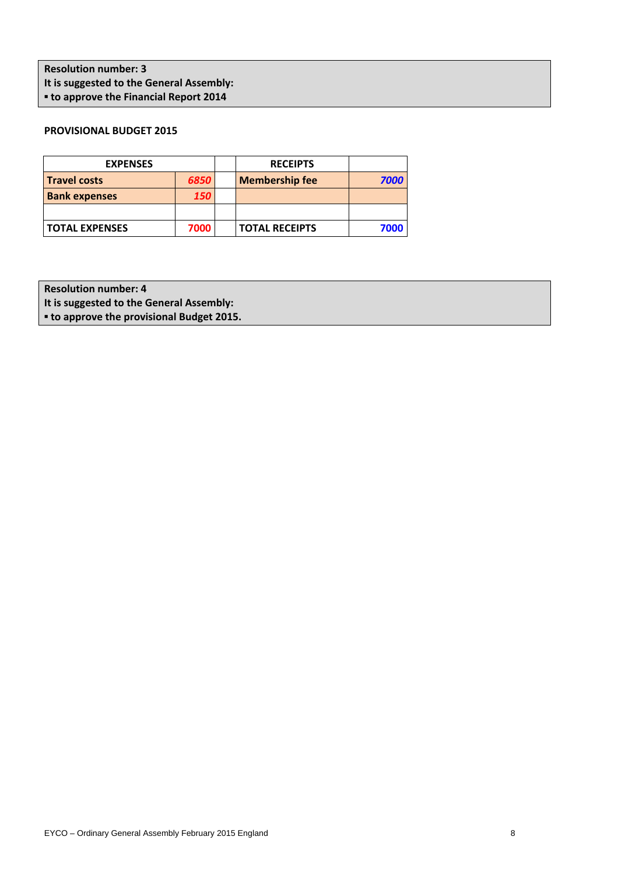**Resolution number: 3** It is suggested to the General Assembly:  $\blacksquare$  **to approve the Financial Report 2014** 

# **PROVISIONAL BUDGET 2015**

| <b>EXPENSES</b>       |            | <b>RECEIPTS</b>       |      |
|-----------------------|------------|-----------------------|------|
| <b>Travel costs</b>   | 6850       | <b>Membership fee</b> | 7000 |
| <b>Bank expenses</b>  | <b>150</b> |                       |      |
|                       |            |                       |      |
| <b>TOTAL EXPENSES</b> | 7000       | <b>TOTAL RECEIPTS</b> | 7000 |

**Resolution number: 4** 

It is suggested to the General Assembly:

**▪ to!approve!the!provisional!Budget 2015.**